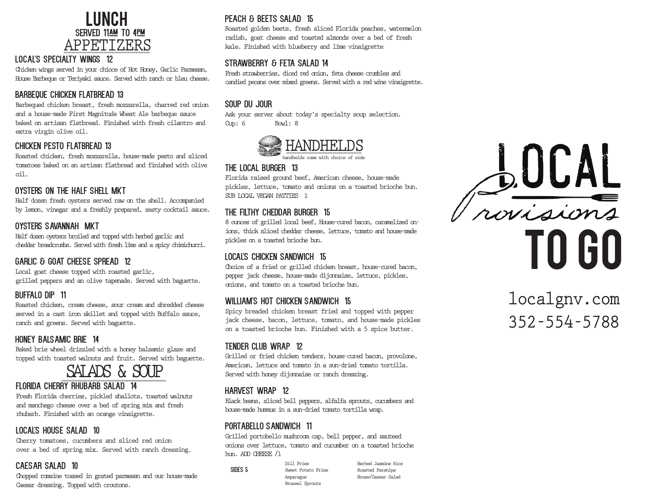

#### local's specialty wings 12

Chicken wings served in your chioce of Hot Honey, Garlic Parmesan, House Barbeque or Teriyaki sauce. Served with ranch or bleu cheese.

# BArbeque chicken flatbread 13

Barbequed chicken breast, fresh mozzarella, charred red onion and a house-made First Magnitude Wheat Ale barbeque sauce baked on artisan flatbread. Finished with fresh cilantro and extra virgin olive oil.

### chicken pesto Flatbread 13

Roasted chicken, fresh mozzarella, house-made pesto and sliced tomatoes baked on an artisan flatbread and finished with olive oil.

# Oysters on the half shell mkt

Half dozen fresh oysters served raw on the shell. Accompanied by lemon, vinegar and a freshly prepared, zesty cocktail sauce.

### Oysters savannah mkt

Half dozen oysters broiled and topped with herbed garlic and cheddar breadcrumbs. Served with fresh lime and a spicy chimichurri.

# Garlic & Goat Cheese Spread 12

Local goat cheese topped with roasted garlic, grilled peppers and an olive tapenade. Served with baguette.

# BUFFALO Dip 11

Roasted chicken, cream cheese, sour cream and shredded cheese served in a cast iron skillet and topped with Buffalo sauce, ranch and greens. Served with baguette.

#### honey balsamic brie 14

Baked brie wheel drizzled with a honey balsamic glaze and topped with toasted walnuts and fruit. Served with baguette.

# SALADS & SOUP

#### florida cherry rhubarb SALAD 14

Fresh Florida cherries, pickled shallots, toasted walnuts and manchego cheese over a bed of spring mix and fresh rhubarb. Finished with an orange vinaigrette.

# local's house Salad 10

Cherry tomatoes, cucumbers and sliced red onion over a bed of spring mix. Served with ranch dressing.

# CAESAR SALAD 10

Chopped romaine tossed in grated parmesan and our house-made Caesar dressing. Topped with croutons.

# PEACH & BEETS SALAD 15

Roasted golden beets, fresh sliced Florida peaches, watermelon radish, goat cheese and toasted almonds over a bed of fresh kale. Finished with blueberry and lime vinaigrette

### STRAWBERRY & FETA SALAD 14

Fresh strawberries, diced red onion, feta cheese crumbles and candied pecans over mixed greens. Served with a red wine vinaigrette.

# Soup DU Jour

Ask your server about today's specialty soup selection. Cup: 6 Bowl: 8



#### THE LOCAL Burger 13

Florida raised ground beef, American cheese, house-made pickles, lettuce, tomato and onions on a toasted brioche bun. SUB LOCAL VEGAN PATTIES 1 Ī

# the filthy cheddar Burger 15

8 ounces of grilled local beef, House-cured bacon, caramelized onions, thick sliced cheddar cheese, lettuce, tomato and house-made pickles on a toasted brioche bun.

#### LOCAL's Chicken Sandwich 15

Choice of a fried or grilled chicken breast, house-cured bacon, pepper jack cheese, house-made dijonnaise, lettuce, pickles, onions, and tomato on a toasted brioche bun.

# william's hot chicken sandwich 15

Spicy breaded chicken breast fried and topped with pepper jack cheese, bacon, lettuce, tomato, and house-made pickles on a toasted brioche bun. Finished with a 5 spice butter.

# TENDER club WRAP 12

Grilled or fried chicken tenders, house-cured bacon, provolone, American, lettuce and tomato in a sun-dried tomato tortilla. Served with honey dijonnaise or ranch dressing.

# harvest wrap 12

Black beans, sliced bell peppers, alfalfa sprouts, cucumbers and house-made hummus in a sun-dried tomato tortilla wrap.

# portabello sandwich 11

Grilled portobello mushroom cap, bell pepper, and sauteed onions over lettuce, tomato and cucumber on a toasted brioche bun. ADD CHEESE /1

> Dill Fries Sweet Potato Fries Asparagus Brussel Sprouts

SIDES 5

Herbed Jasmine Rice Roasted Parsnips House/Caesar Salad

BOCAL to go

# localgnv.com 352-554-5788